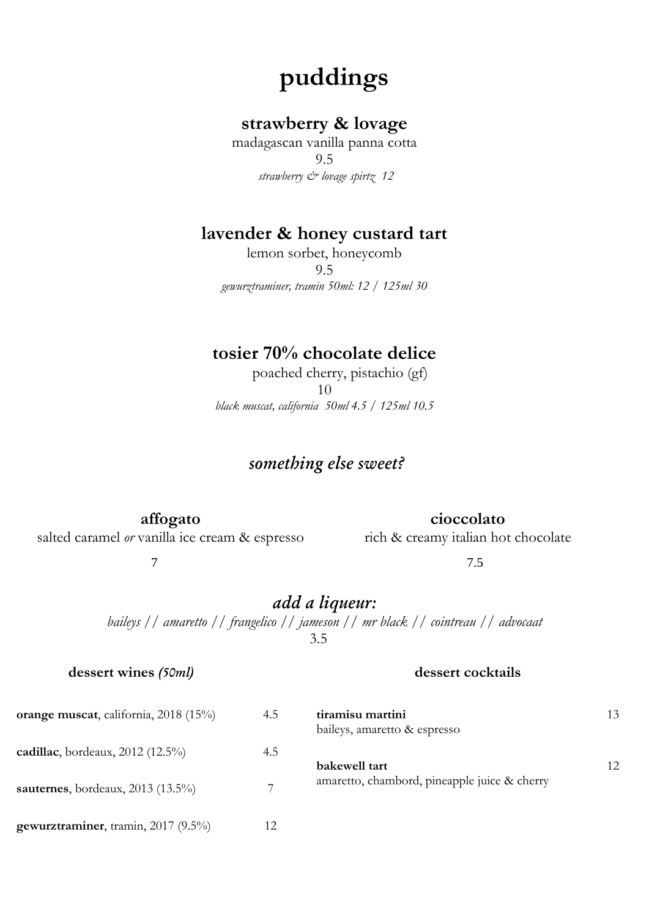# **puddings**

# **strawberry & lovage**

madagascan vanilla panna cotta 9.5 *strawberry & lovage spirtz 12*

## **lavender & honey custard tart**

lemon sorbet, honeycomb 9.5 *gewurztraminer, tramin 50ml: 12 / 125ml 30*

# **tosier 70% chocolate delice**

 poached cherry, pistachio (gf) 10 *black muscat, california 50ml 4.5 / 125ml 10.5*

# *something else sweet?*

**affogato**

### **cioccolato**

salted caramel *or* vanilla ice cream & espresso

#### rich & creamy italian hot chocolate

7 7.5

# *add a liqueur:*

*baileys // amaretto // frangelico // jameson // mr black // cointreau // advocaat* 3.5

#### **dessert wines** *(50ml)*

#### **dessert cocktails**

| orange muscat, california, 2018 (15%) | 4.5 | tiramisu martini<br>baileys, amaretto & espresso | 13 |
|---------------------------------------|-----|--------------------------------------------------|----|
| cadillac, bordeaux, $2012$ (12.5%)    | 4.5 | bakewell tart                                    | 12 |
| sauternes, bordeaux, $2013$ (13.5%)   |     | amaretto, chambord, pineapple juice & cherry     |    |
| gewurztraminer, tramin, 2017 (9.5%)   | 12  |                                                  |    |